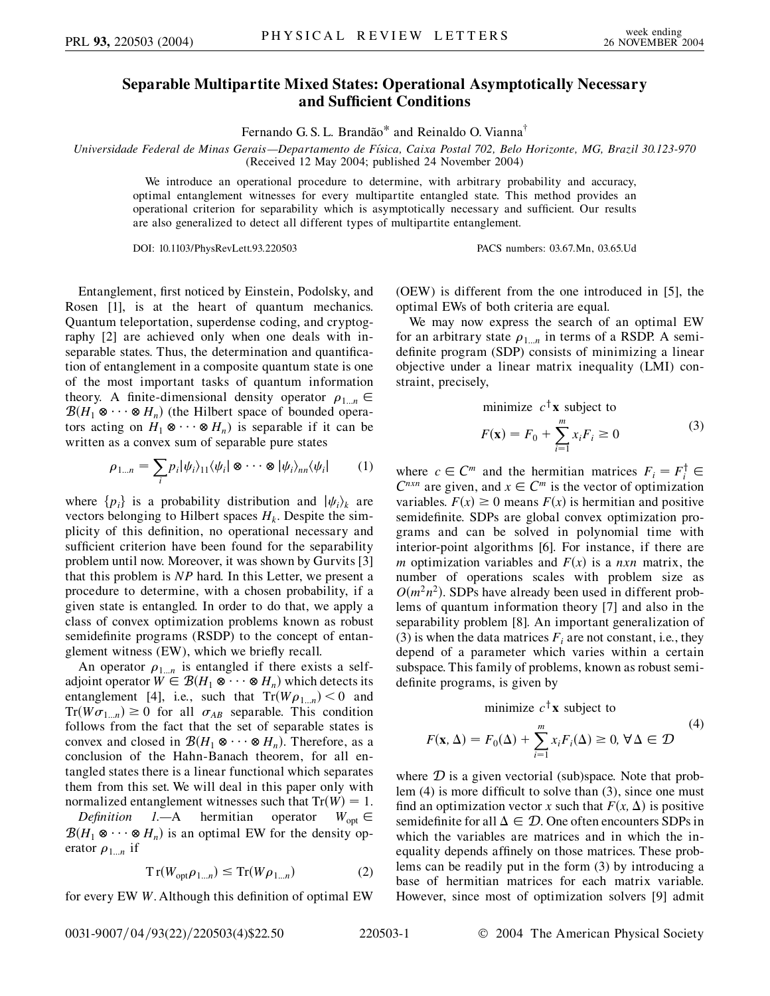## **Separable Multipartite Mixed States: Operational Asymptotically Necessary and Sufficient Conditions**

Fernando G. S. L. Brandão\* and Reinaldo O. Vianna<sup>†</sup>

*Universidade Federal de Minas Gerais—Departamento de Fı´sica, Caixa Postal 702, Belo Horizonte, MG, Brazil 30.123-970* (Received 12 May 2004; published 24 November 2004)

We introduce an operational procedure to determine, with arbitrary probability and accuracy, optimal entanglement witnesses for every multipartite entangled state. This method provides an operational criterion for separability which is asymptotically necessary and sufficient. Our results are also generalized to detect all different types of multipartite entanglement.

DOI: 10.1103/PhysRevLett.93.220503 PACS numbers: 03.67.Mn, 03.65.Ud

Entanglement, first noticed by Einstein, Podolsky, and Rosen [1], is at the heart of quantum mechanics. Quantum teleportation, superdense coding, and cryptography [2] are achieved only when one deals with inseparable states. Thus, the determination and quantification of entanglement in a composite quantum state is one of the most important tasks of quantum information theory. A finite-dimensional density operator  $\rho_{1...n} \in$  $\mathcal{B}(H_1 \otimes \cdots \otimes H_n)$  (the Hilbert space of bounded operators acting on  $H_1 \otimes \cdots \otimes H_n$ ) is separable if it can be written as a convex sum of separable pure states

$$
\rho_{1...n} = \sum_i p_i |\psi_i\rangle_{11} \langle \psi_i | \otimes \cdots \otimes |\psi_i\rangle_{nn} \langle \psi_i |
$$
 (1)

where  $\{p_i\}$  is a probability distribution and  $|\psi_i\rangle_k$  are vectors belonging to Hilbert spaces  $H_k$ . Despite the simplicity of this definition, no operational necessary and sufficient criterion have been found for the separability problem until now. Moreover, it was shown by Gurvits [3] that this problem is *NP* hard. In this Letter, we present a procedure to determine, with a chosen probability, if a given state is entangled. In order to do that, we apply a class of convex optimization problems known as robust semidefinite programs (RSDP) to the concept of entanglement witness (EW), which we briefly recall.

An operator  $\rho_{1...n}$  is entangled if there exists a selfadjoint operator  $W \in \mathcal{B}(H_1 \otimes \cdots \otimes H_n)$  which detects its entanglement [4], i.e., such that  $Tr(W\rho_{1...n}) < 0$  and  $Tr(W\sigma_{1...n}) \geq 0$  for all  $\sigma_{AB}$  separable. This condition follows from the fact that the set of separable states is convex and closed in  $\mathcal{B}(H_1 \otimes \cdots \otimes H_n)$ . Therefore, as a conclusion of the Hahn-Banach theorem, for all entangled states there is a linear functional which separates them from this set. We will deal in this paper only with normalized entanglement witnesses such that  $Tr(W) = 1$ .

*Definition 1.*—A hermitian operator  $W_{\text{opt}} \in$  $\mathcal{B}(H_1 \otimes \cdots \otimes H_n)$  is an optimal EW for the density operator  $\rho_{1...n}$  if

$$
Tr(W_{\text{opt}}\rho_{1\ldots n}) \le Tr(W\rho_{1\ldots n})
$$
 (2)

for every EW *W*. Although this definition of optimal EW

(OEW) is different from the one introduced in [5], the optimal EWs of both criteria are equal.

We may now express the search of an optimal EW for an arbitrary state  $\rho_{1...n}$  in terms of a RSDP. A semidefinite program (SDP) consists of minimizing a linear objective under a linear matrix inequality (LMI) constraint, precisely,

minimize 
$$
c^{\dagger} \mathbf{x}
$$
 subject to  

$$
F(\mathbf{x}) = F_0 + \sum_{i=1}^{m} x_i F_i \ge 0
$$
(3)

where  $c \in \mathbb{C}^m$  and the hermitian matrices  $F_i = F_i^{\dagger} \in$  $C^{n x n}$  are given, and  $x \in C^m$  is the vector of optimization variables.  $F(x) \ge 0$  means  $F(x)$  is hermitian and positive semidefinite. SDPs are global convex optimization programs and can be solved in polynomial time with interior-point algorithms [6]. For instance, if there are *m* optimization variables and  $F(x)$  is a *nxn* matrix, the number of operations scales with problem size as  $O(m^2n^2)$ . SDPs have already been used in different problems of quantum information theory [7] and also in the separability problem [8]. An important generalization of (3) is when the data matrices  $F_i$  are not constant, i.e., they depend of a parameter which varies within a certain subspace. This family of problems, known as robust semidefinite programs, is given by

minimize  $c^{\dagger}$ **x** subject to

$$
F(\mathbf{x}, \Delta) = F_0(\Delta) + \sum_{i=1}^{m} x_i F_i(\Delta) \ge 0, \forall \Delta \in \mathcal{D}
$$
 (4)

where  $D$  is a given vectorial (sub)space. Note that problem (4) is more difficult to solve than (3), since one must find an optimization vector *x* such that  $F(x, \Delta)$  is positive semidefinite for all  $\Delta \in \mathcal{D}$ . One often encounters SDPs in which the variables are matrices and in which the inequality depends affinely on those matrices. These problems can be readily put in the form (3) by introducing a base of hermitian matrices for each matrix variable. However, since most of optimization solvers [9] admit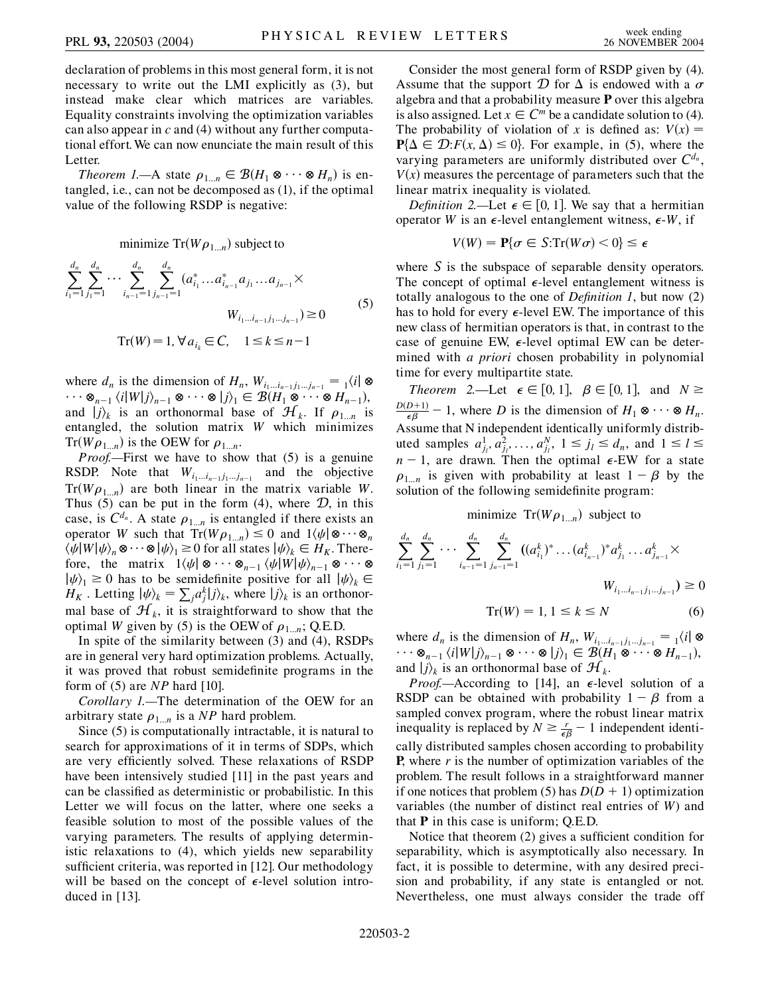declaration of problems in this most general form, it is not necessary to write out the LMI explicitly as (3), but instead make clear which matrices are variables. Equality constraints involving the optimization variables can also appear in *c* and (4) without any further computational effort. We can now enunciate the main result of this Letter.

*Theorem 1.*—A state  $\rho_{1...n} \in \mathcal{B}(H_1 \otimes \cdots \otimes H_n)$  is entangled, i.e., can not be decomposed as (1), if the optimal value of the following RSDP is negative:

minimize 
$$
\text{Tr}(W \rho_{1...n})
$$
 subject to

$$
\sum_{i_1=1}^{d_n} \sum_{j_1=1}^{d_n} \cdots \sum_{i_{n-1}=1}^{d_n} \sum_{j_{n-1}=1}^{d_n} (a_{i_1}^* \dots a_{i_{n-1}}^* a_{j_1} \dots a_{j_{n-1}}) \times
$$
  
\n
$$
W_{i_1 \dots i_{n-1} j_1 \dots j_{n-1}}) \ge 0
$$
\n
$$
\text{Tr}(W) = 1, \forall a_{i_k} \in C, \quad 1 \le k \le n-1
$$
\n
$$
(5)
$$

where  $d_n$  is the dimension of  $H_n$ ,  $W_{i_1...i_{n-1},j_1...j_{n-1}} = \chi(i) \otimes$  $\dots \otimes_{n-1} \langle i|W|j\rangle_{n-1} \otimes \dots \otimes |j\rangle_1 \in \mathcal{B}(H_1 \otimes \dots \otimes H_{n-1}),$ and  $|j\rangle_k$  is an orthonormal base of  $\mathcal{H}_k$ . If  $\rho_{1...n}$  is entangled, the solution matrix *W* which minimizes  $Tr(W\rho_{1...n})$  is the OEW for  $\rho_{1...n}$ .

*Proof.*—First we have to show that (5) is a genuine RSDP. Note that  $W_{i_1...i_{n-1},j_1...j_{n-1}}$  and the objective  $Tr(W\rho_{1...n})$  are both linear in the matrix variable *W*. Thus (5) can be put in the form (4), where  $\mathcal{D}$ , in this case, is  $C^{d_n}$ . A state  $\rho_{1...n}$  is entangled if there exists an operator *W* such that  $Tr(W\rho_{1...n}) \leq 0$  and  $1\langle \psi | \otimes \cdots \otimes_n$  $\langle \psi | W | \psi \rangle_n \otimes \cdots \otimes |\psi \rangle_1 \geq 0$  for all states  $|\psi \rangle_k \in H_K$ . Therefore, the matrix  $1\langle \psi | \otimes \cdots \otimes_{n-1} \langle \psi | W | \psi \rangle_{n-1} \otimes \cdots \otimes$  $|\psi\rangle_1 \ge 0$  has to be semidefinite positive for all  $|\psi\rangle_k \in$  $H_K$ . Letting  $|\psi\rangle_k = \sum_j a_j^k |j\rangle_k$ , where  $|j\rangle_k$  is an orthonormal base of  $\mathcal{H}_k$ , it is straightforward to show that the optimal *W* given by (5) is the OEW of  $\rho_1$ ,  $\ldots$ ; Q.E.D.

In spite of the similarity between (3) and (4), RSDPs are in general very hard optimization problems. Actually, it was proved that robust semidefinite programs in the form of (5) are *NP* hard [10].

*Corollary 1.—*The determination of the OEW for an arbitrary state  $\rho_{1...n}$  is a *NP* hard problem.

Since (5) is computationally intractable, it is natural to search for approximations of it in terms of SDPs, which are very efficiently solved. These relaxations of RSDP have been intensively studied [11] in the past years and can be classified as deterministic or probabilistic. In this Letter we will focus on the latter, where one seeks a feasible solution to most of the possible values of the varying parameters. The results of applying deterministic relaxations to (4), which yields new separability sufficient criteria, was reported in [12]. Our methodology will be based on the concept of  $\epsilon$ -level solution introduced in [13].

Consider the most general form of RSDP given by (4). Assume that the support  $D$  for  $\Delta$  is endowed with a  $\sigma$ algebra and that a probability measure **P** over this algebra is also assigned. Let  $x \in \mathbb{C}^m$  be a candidate solution to (4). The probability of violation of *x* is defined as:  $V(x) =$  $P\{\Delta \in \mathcal{D}: F(x, \Delta) \leq 0\}$ . For example, in (5), where the varying parameters are uniformly distributed over  $C^{d_n}$ ,  $V(x)$  measures the percentage of parameters such that the linear matrix inequality is violated.

*Definition 2.—Let*  $\epsilon \in [0, 1]$ . We say that a hermitian operator *W* is an  $\epsilon$ -level entanglement witness,  $\epsilon$ -*W*, if

$$
V(W) = \mathbf{P}\{\sigma \in S: \text{Tr}(W\sigma) < 0\} \le \epsilon
$$

where S is the subspace of separable density operators. The concept of optimal  $\epsilon$ -level entanglement witness is totally analogous to the one of *Definition 1*, but now (2) has to hold for every  $\epsilon$ -level EW. The importance of this new class of hermitian operators is that, in contrast to the case of genuine EW,  $\epsilon$ -level optimal EW can be determined with *a priori* chosen probability in polynomial time for every multipartite state.

*Theorem* 2.—Let  $\epsilon \in [0, 1]$ ,  $\beta \in [0, 1]$ , and  $N \geq$  $\frac{D(D+1)}{\epsilon \beta} - 1$ , where *D* is the dimension of  $H_1 \otimes \cdots \otimes H_n$ . Assume that N independent identically uniformly distributed samples  $a_{j_l}^1, a_{j_l}^2, ..., a_{j_l}^N, 1 \le j_l \le d_n$ , and  $1 \le l \le n$  $n - 1$ , are drawn. Then the optimal  $\epsilon$ -EW for a state  $\rho_{1...n}$  is given with probability at least  $1 - \beta$  by the solution of the following semidefinite program:

## minimize  $Tr(W\rho_{1...n})$  subject to

$$
\sum_{i_1=1}^{d_n} \sum_{j_1=1}^{d_n} \cdots \sum_{i_{n-1}=1}^{d_n} \sum_{j_{n-1}=1}^{d_n} ((a_{i_1}^k)^* \dots (a_{i_{n-1}}^k)^* a_{j_1}^k \dots a_{j_{n-1}}^k \times
$$
  
\n
$$
W_{i_1 \dots i_{n-1} j_1 \dots j_{n-1}}) \ge 0
$$
  
\n
$$
\text{Tr}(W) = 1, 1 \le k \le N
$$
 (6)

where  $d_n$  is the dimension of  $H_n$ ,  $W_{i_1...i_{n-1},j_1...j_{n-1}} = \chi(i)$  $\dots \otimes_{n-1} \langle i|W|j\rangle_{n-1} \otimes \dots \otimes |j\rangle_1 \in \mathcal{B}(H_1 \otimes \dots \otimes H_{n-1}),$ and  $|j\rangle_k$  is an orthonormal base of  $\mathcal{H}_k$ .

*Proof.*—According to [14], an  $\epsilon$ -level solution of a RSDP can be obtained with probability  $1 - \beta$  from a sampled convex program, where the robust linear matrix inequality is replaced by  $N \ge \frac{r}{\epsilon \beta} - 1$  independent identically distributed samples chosen according to probability **P**, where *r* is the number of optimization variables of the problem. The result follows in a straightforward manner if one notices that problem (5) has  $D(D + 1)$  optimization variables (the number of distinct real entries of *W*) and that **P** in this case is uniform; Q.E.D.

Notice that theorem (2) gives a sufficient condition for separability, which is asymptotically also necessary. In fact, it is possible to determine, with any desired precision and probability, if any state is entangled or not. Nevertheless, one must always consider the trade off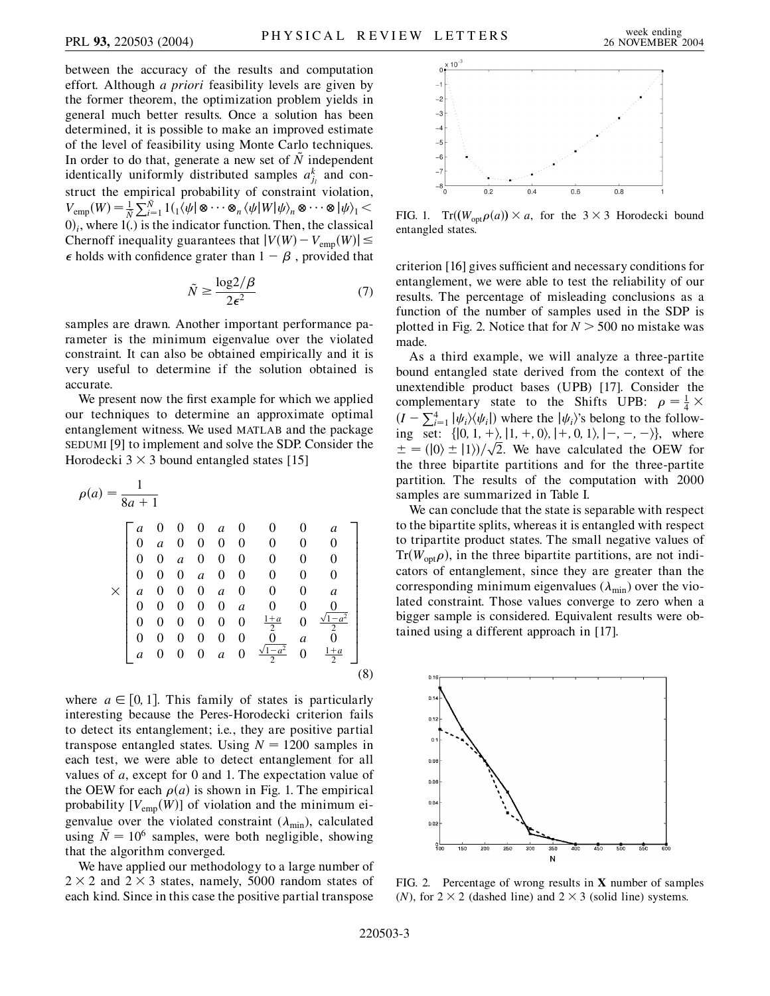between the accuracy of the results and computation effort. Although *a priori* feasibility levels are given by the former theorem, the optimization problem yields in general much better results. Once a solution has been determined, it is possible to make an improved estimate of the level of feasibility using Monte Carlo techniques. In order to do that, generate a new set of  $\tilde{N}$  independent identically uniformly distributed samples  $a_{j_l}^k$  and construct the empirical probability of constraint violation,  $V_{\text{emp}}(W) = \frac{1}{N} \sum_{i=1}^{N} 1 \left( \frac{1}{W} \left( \phi \right) \otimes \cdots \otimes \phi_{n} \left( \psi \right) W \right| \psi \right)_{n} \otimes \cdots \otimes \left| \psi \right\rangle_{1}$  $(0)$ <sub>i</sub>, where  $1(.)$  is the indicator function. Then, the classical Chernoff inequality guarantees that  $|V(W) - V_{\text{emp}}(W)| \le$  $\epsilon$  holds with confidence grater than  $1 - \beta$ , provided that

$$
\tilde{N} \ge \frac{\log 2/\beta}{2\epsilon^2} \tag{7}
$$

samples are drawn. Another important performance parameter is the minimum eigenvalue over the violated constraint. It can also be obtained empirically and it is very useful to determine if the solution obtained is accurate.

We present now the first example for which we applied our techniques to determine an approximate optimal entanglement witness. We used MATLAB and the package SEDUMI [9] to implement and solve the SDP. Consider the Horodecki  $3 \times 3$  bound entangled states [15]

$$
\rho(a) = \frac{1}{8a+1}
$$
\n
$$
\begin{bmatrix}\n a & 0 & 0 & 0 & a & 0 & 0 & 0 & a \\
0 & a & 0 & 0 & 0 & 0 & 0 & 0 & 0 \\
0 & 0 & a & 0 & 0 & 0 & 0 & 0 & 0 \\
0 & 0 & 0 & a & 0 & 0 & 0 & 0 & 0 \\
a & 0 & 0 & 0 & a & 0 & 0 & 0 & a \\
0 & 0 & 0 & 0 & 0 & a & 0 & 0 & 0 \\
0 & 0 & 0 & 0 & 0 & 0 & \frac{1+a}{2} & 0 & \frac{\sqrt{1-a^2}}{2} \\
a & 0 & 0 & 0 & a & 0 & \frac{\sqrt{1-a^2}}{2} & 0 & \frac{1+a}{2}\n\end{bmatrix}
$$
\n
$$
(8)
$$

where  $a \in [0, 1]$ . This family of states is particularly interesting because the Peres-Horodecki criterion fails to detect its entanglement; i.e., they are positive partial transpose entangled states. Using  $N = 1200$  samples in each test, we were able to detect entanglement for all values of *a*, except for 0 and 1. The expectation value of the OEW for each  $\rho(a)$  is shown in Fig. 1. The empirical probability  $[V_{\text{emp}}(W)]$  of violation and the minimum eigenvalue over the violated constraint  $(\lambda_{\min})$ , calculated using  $\tilde{N} = 10^6$  samples, were both negligible, showing that the algorithm converged.

We have applied our methodology to a large number of  $2 \times 2$  and  $2 \times 3$  states, namely, 5000 random states of each kind. Since in this case the positive partial transpose



FIG. 1.  $Tr((W_{opt}\rho(a)) \times a$ , for the 3  $\times$  3 Horodecki bound entangled states.

criterion [16] gives sufficient and necessary conditions for entanglement, we were able to test the reliability of our results. The percentage of misleading conclusions as a function of the number of samples used in the SDP is plotted in Fig. 2. Notice that for  $N > 500$  no mistake was made.

As a third example, we will analyze a three-partite bound entangled state derived from the context of the unextendible product bases (UPB) [17]. Consider the complementary state to the Shifts UPB:  $\rho = \frac{1}{4} \times$  $(I - \sum_{i=1}^{4} |\psi_i\rangle\langle\psi_i|)$  where the  $|\psi_i\rangle$ 's belong to the following set:  $\{ [0, 1, +), [1, +, 0), [+, 0, 1), [-, -, -] \}$ , where ing set: { $(0, 1, +2, 11, +0, 0, 17, 17, 17, -7, -7$ }, where  $\pm = (0, \pm 11)/\sqrt{2}$ . We have calculated the OEW for the three bipartite partitions and for the three-partite partition. The results of the computation with 2000 samples are summarized in Table I.

We can conclude that the state is separable with respect to the bipartite splits, whereas it is entangled with respect to tripartite product states. The small negative values of  $Tr(W_{opt}\rho)$ , in the three bipartite partitions, are not indicators of entanglement, since they are greater than the corresponding minimum eigenvalues  $(\lambda_{\min})$  over the violated constraint. Those values converge to zero when a bigger sample is considered. Equivalent results were obtained using a different approach in [17].



FIG. 2. Percentage of wrong results in **X** number of samples (*N*), for  $2 \times 2$  (dashed line) and  $2 \times 3$  (solid line) systems.